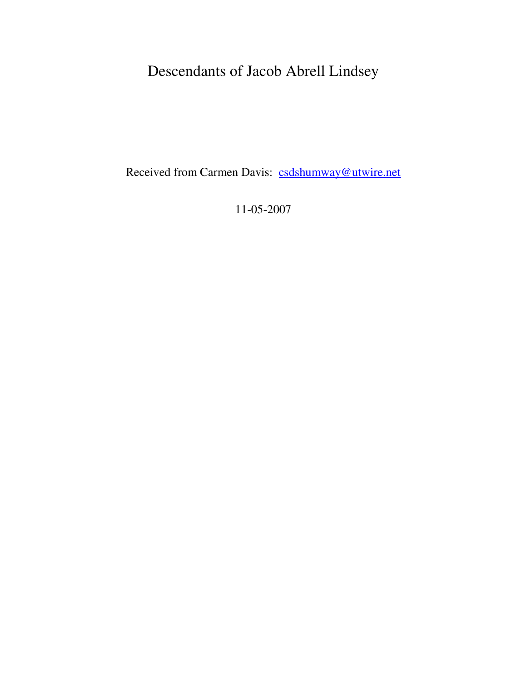Received from Carmen Davis: csdshumway@utwire.net

11-05-2007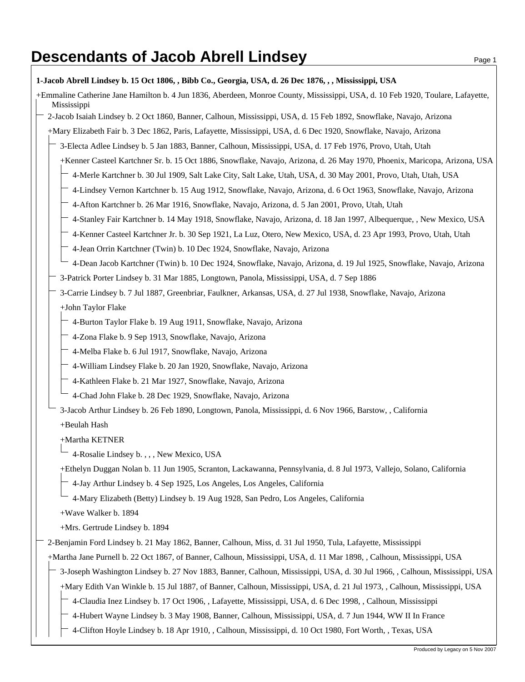| 1-Jacob Abrell Lindsey b. 15 Oct 1806, Bibb Co., Georgia, USA, d. 26 Dec 1876, , , Mississippi, USA                                            |  |
|------------------------------------------------------------------------------------------------------------------------------------------------|--|
| +Emmaline Catherine Jane Hamilton b. 4 Jun 1836, Aberdeen, Monroe County, Mississippi, USA, d. 10 Feb 1920, Toulare, Lafayette,<br>Mississippi |  |
| 2-Jacob Isaiah Lindsey b. 2 Oct 1860, Banner, Calhoun, Mississippi, USA, d. 15 Feb 1892, Snowflake, Navajo, Arizona                            |  |
| +Mary Elizabeth Fair b. 3 Dec 1862, Paris, Lafayette, Mississippi, USA, d. 6 Dec 1920, Snowflake, Navajo, Arizona                              |  |
| 3-Electa Adlee Lindsey b. 5 Jan 1883, Banner, Calhoun, Mississippi, USA, d. 17 Feb 1976, Provo, Utah, Utah                                     |  |
| +Kenner Casteel Kartchner Sr. b. 15 Oct 1886, Snowflake, Navajo, Arizona, d. 26 May 1970, Phoenix, Maricopa, Arizona, USA                      |  |
| 4-Merle Kartchner b. 30 Jul 1909, Salt Lake City, Salt Lake, Utah, USA, d. 30 May 2001, Provo, Utah, Utah, USA                                 |  |
| 4-Lindsey Vernon Kartchner b. 15 Aug 1912, Snowflake, Navajo, Arizona, d. 6 Oct 1963, Snowflake, Navajo, Arizona                               |  |
| 4-Afton Kartchner b. 26 Mar 1916, Snowflake, Navajo, Arizona, d. 5 Jan 2001, Provo, Utah, Utah                                                 |  |
| 4-Stanley Fair Kartchner b. 14 May 1918, Snowflake, Navajo, Arizona, d. 18 Jan 1997, Albequerque, , New Mexico, USA                            |  |
| 4-Kenner Casteel Kartchner Jr. b. 30 Sep 1921, La Luz, Otero, New Mexico, USA, d. 23 Apr 1993, Provo, Utah, Utah                               |  |
| 4-Jean Orrin Kartchner (Twin) b. 10 Dec 1924, Snowflake, Navajo, Arizona                                                                       |  |
| 4-Dean Jacob Kartchner (Twin) b. 10 Dec 1924, Snowflake, Navajo, Arizona, d. 19 Jul 1925, Snowflake, Navajo, Arizona                           |  |
| 3-Patrick Porter Lindsey b. 31 Mar 1885, Longtown, Panola, Mississippi, USA, d. 7 Sep 1886                                                     |  |
| 3-Carrie Lindsey b. 7 Jul 1887, Greenbriar, Faulkner, Arkansas, USA, d. 27 Jul 1938, Snowflake, Navajo, Arizona                                |  |
| +John Taylor Flake                                                                                                                             |  |
| 4-Burton Taylor Flake b. 19 Aug 1911, Snowflake, Navajo, Arizona                                                                               |  |
| 4-Zona Flake b. 9 Sep 1913, Snowflake, Navajo, Arizona                                                                                         |  |
| 4-Melba Flake b. 6 Jul 1917, Snowflake, Navajo, Arizona                                                                                        |  |
| 4-William Lindsey Flake b. 20 Jan 1920, Snowflake, Navajo, Arizona                                                                             |  |
| 4-Kathleen Flake b. 21 Mar 1927, Snowflake, Navajo, Arizona                                                                                    |  |
| 4-Chad John Flake b. 28 Dec 1929, Snowflake, Navajo, Arizona                                                                                   |  |
| 3-Jacob Arthur Lindsey b. 26 Feb 1890, Longtown, Panola, Mississippi, d. 6 Nov 1966, Barstow, , California                                     |  |
| +Beulah Hash                                                                                                                                   |  |
| +Martha KETNER                                                                                                                                 |  |
| 4-Rosalie Lindsey b.,,, New Mexico, USA                                                                                                        |  |
| +Ethelyn Duggan Nolan b. 11 Jun 1905, Scranton, Lackawanna, Pennsylvania, d. 8 Jul 1973, Vallejo, Solano, California                           |  |
| 4-Jay Arthur Lindsey b. 4 Sep 1925, Los Angeles, Los Angeles, California                                                                       |  |
| 4-Mary Elizabeth (Betty) Lindsey b. 19 Aug 1928, San Pedro, Los Angeles, California                                                            |  |
| +Wave Walker b. 1894                                                                                                                           |  |
| +Mrs. Gertrude Lindsey b. 1894                                                                                                                 |  |
| 2-Benjamin Ford Lindsey b. 21 May 1862, Banner, Calhoun, Miss, d. 31 Jul 1950, Tula, Lafayette, Mississippi                                    |  |
| +Martha Jane Purnell b. 22 Oct 1867, of Banner, Calhoun, Mississippi, USA, d. 11 Mar 1898, , Calhoun, Mississippi, USA                         |  |
| 3-Joseph Washington Lindsey b. 27 Nov 1883, Banner, Calhoun, Mississippi, USA, d. 30 Jul 1966, , Calhoun, Mississippi, USA                     |  |
| +Mary Edith Van Winkle b. 15 Jul 1887, of Banner, Calhoun, Mississippi, USA, d. 21 Jul 1973, , Calhoun, Mississippi, USA                       |  |
| 4-Claudia Inez Lindsey b. 17 Oct 1906, , Lafayette, Mississippi, USA, d. 6 Dec 1998, , Calhoun, Mississippi                                    |  |
| 4-Hubert Wayne Lindsey b. 3 May 1908, Banner, Calhoun, Mississippi, USA, d. 7 Jun 1944, WW II In France                                        |  |
| 4-Clifton Hoyle Lindsey b. 18 Apr 1910, , Calhoun, Mississippi, d. 10 Oct 1980, Fort Worth, , Texas, USA                                       |  |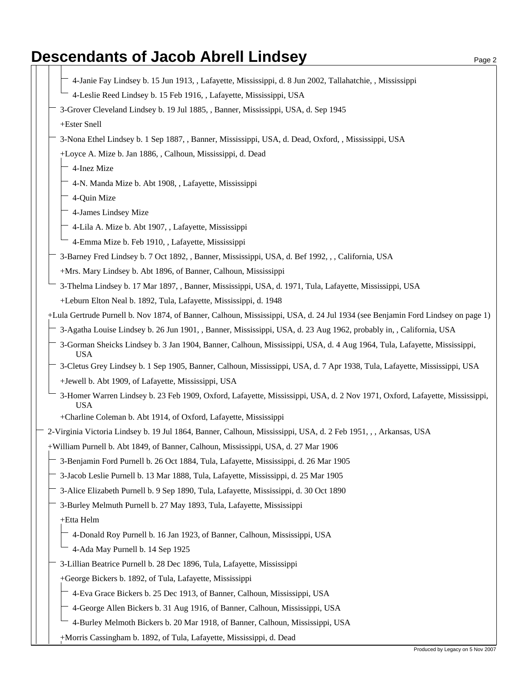|  | 4-Janie Fay Lindsey b. 15 Jun 1913, , Lafayette, Mississippi, d. 8 Jun 2002, Tallahatchie, , Mississippi                                 |
|--|------------------------------------------------------------------------------------------------------------------------------------------|
|  | 4-Leslie Reed Lindsey b. 15 Feb 1916, , Lafayette, Mississippi, USA                                                                      |
|  | 3-Grover Cleveland Lindsey b. 19 Jul 1885, , Banner, Mississippi, USA, d. Sep 1945                                                       |
|  | +Ester Snell                                                                                                                             |
|  | 3-Nona Ethel Lindsey b. 1 Sep 1887, , Banner, Mississippi, USA, d. Dead, Oxford, , Mississippi, USA                                      |
|  | +Loyce A. Mize b. Jan 1886, , Calhoun, Mississippi, d. Dead                                                                              |
|  | 4-Inez Mize                                                                                                                              |
|  | 4-N. Manda Mize b. Abt 1908, , Lafayette, Mississippi                                                                                    |
|  | 4-Quin Mize                                                                                                                              |
|  | 4-James Lindsey Mize                                                                                                                     |
|  | 4-Lila A. Mize b. Abt 1907, , Lafayette, Mississippi                                                                                     |
|  | 4-Emma Mize b. Feb 1910, , Lafayette, Mississippi                                                                                        |
|  | 3-Barney Fred Lindsey b. 7 Oct 1892, , Banner, Mississippi, USA, d. Bef 1992, , , California, USA                                        |
|  | +Mrs. Mary Lindsey b. Abt 1896, of Banner, Calhoun, Mississippi                                                                          |
|  | 3-Thelma Lindsey b. 17 Mar 1897, , Banner, Mississippi, USA, d. 1971, Tula, Lafayette, Mississippi, USA                                  |
|  | +Leburn Elton Neal b. 1892, Tula, Lafayette, Mississippi, d. 1948                                                                        |
|  | +Lula Gertrude Purnell b. Nov 1874, of Banner, Calhoun, Mississippi, USA, d. 24 Jul 1934 (see Benjamin Ford Lindsey on page 1)           |
|  | 3-Agatha Louise Lindsey b. 26 Jun 1901, , Banner, Mississippi, USA, d. 23 Aug 1962, probably in, , California, USA                       |
|  | 3-Gorman Sheicks Lindsey b. 3 Jan 1904, Banner, Calhoun, Mississippi, USA, d. 4 Aug 1964, Tula, Lafayette, Mississippi,<br><b>USA</b>    |
|  | 3-Cletus Grey Lindsey b. 1 Sep 1905, Banner, Calhoun, Mississippi, USA, d. 7 Apr 1938, Tula, Lafayette, Mississippi, USA                 |
|  | +Jewell b. Abt 1909, of Lafayette, Mississippi, USA                                                                                      |
|  | 3-Homer Warren Lindsey b. 23 Feb 1909, Oxford, Lafayette, Mississippi, USA, d. 2 Nov 1971, Oxford, Lafayette, Mississippi,<br><b>USA</b> |
|  | +Charline Coleman b. Abt 1914, of Oxford, Lafayette, Mississippi                                                                         |
|  | 2-Virginia Victoria Lindsey b. 19 Jul 1864, Banner, Calhoun, Mississippi, USA, d. 2 Feb 1951, , , Arkansas, USA                          |
|  | +William Purnell b. Abt 1849, of Banner, Calhoun, Mississippi, USA, d. 27 Mar 1906                                                       |
|  | 3-Benjamin Ford Purnell b. 26 Oct 1884, Tula, Lafayette, Mississippi, d. 26 Mar 1905                                                     |
|  | 3-Jacob Leslie Purnell b. 13 Mar 1888, Tula, Lafayette, Mississippi, d. 25 Mar 1905                                                      |
|  | 3-Alice Elizabeth Purnell b. 9 Sep 1890, Tula, Lafayette, Mississippi, d. 30 Oct 1890                                                    |
|  | 3-Burley Melmuth Purnell b. 27 May 1893, Tula, Lafayette, Mississippi                                                                    |
|  | +Etta Helm                                                                                                                               |
|  | 4-Donald Roy Purnell b. 16 Jan 1923, of Banner, Calhoun, Mississippi, USA                                                                |
|  | 4-Ada May Purnell b. 14 Sep 1925                                                                                                         |
|  | 3-Lillian Beatrice Purnell b. 28 Dec 1896, Tula, Lafayette, Mississippi                                                                  |
|  | +George Bickers b. 1892, of Tula, Lafayette, Mississippi                                                                                 |
|  | 4-Eva Grace Bickers b. 25 Dec 1913, of Banner, Calhoun, Mississippi, USA                                                                 |
|  | 4-George Allen Bickers b. 31 Aug 1916, of Banner, Calhoun, Mississippi, USA                                                              |
|  | 4-Burley Melmoth Bickers b. 20 Mar 1918, of Banner, Calhoun, Mississippi, USA                                                            |
|  | +Morris Cassingham b. 1892, of Tula, Lafayette, Mississippi, d. Dead                                                                     |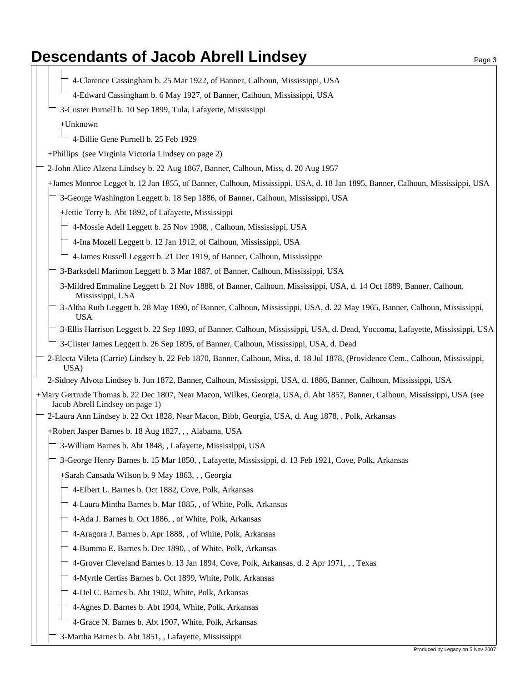|                                                                                                                                                                | r ay <del>o</del> J |
|----------------------------------------------------------------------------------------------------------------------------------------------------------------|---------------------|
| 4-Clarence Cassingham b. 25 Mar 1922, of Banner, Calhoun, Mississippi, USA                                                                                     |                     |
| 4-Edward Cassingham b. 6 May 1927, of Banner, Calhoun, Mississippi, USA                                                                                        |                     |
| 3-Custer Purnell b. 10 Sep 1899, Tula, Lafayette, Mississippi                                                                                                  |                     |
| $+Unknown$                                                                                                                                                     |                     |
| 4-Billie Gene Purnell b. 25 Feb 1929                                                                                                                           |                     |
| +Phillips (see Virginia Victoria Lindsey on page 2)                                                                                                            |                     |
| 2-John Alice Alzena Lindsey b. 22 Aug 1867, Banner, Calhoun, Miss, d. 20 Aug 1957                                                                              |                     |
| +James Monroe Legget b. 12 Jan 1855, of Banner, Calhoun, Mississippi, USA, d. 18 Jan 1895, Banner, Calhoun, Mississippi, USA                                   |                     |
| 3-George Washington Leggett b. 18 Sep 1886, of Banner, Calhoun, Mississippi, USA                                                                               |                     |
| +Jettie Terry b. Abt 1892, of Lafayette, Mississippi                                                                                                           |                     |
| 4-Mossie Adell Leggett b. 25 Nov 1908, , Calhoun, Mississippi, USA                                                                                             |                     |
| 4-Ina Mozell Leggett b. 12 Jan 1912, of Calhoun, Mississippi, USA                                                                                              |                     |
| 4-James Russell Leggett b. 21 Dec 1919, of Banner, Calhoun, Mississippe                                                                                        |                     |
| 3-Barksdell Marimon Leggett b. 3 Mar 1887, of Banner, Calhoun, Mississippi, USA                                                                                |                     |
| 3-Mildred Emmaline Leggett b. 21 Nov 1888, of Banner, Calhoun, Mississippi, USA, d. 14 Oct 1889, Banner, Calhoun,<br>Mississippi, USA                          |                     |
| 3-Altha Ruth Leggett b. 28 May 1890, of Banner, Calhoun, Mississippi, USA, d. 22 May 1965, Banner, Calhoun, Mississippi,<br><b>USA</b>                         |                     |
| 3-Ellis Harrison Leggett b. 22 Sep 1893, of Banner, Calhoun, Mississippi, USA, d. Dead, Yoccoma, Lafayette, Mississippi, USA                                   |                     |
| 3-Clister James Leggett b. 26 Sep 1895, of Banner, Calhoun, Mississippi, USA, d. Dead                                                                          |                     |
| 2-Electa Vileta (Carrie) Lindsey b. 22 Feb 1870, Banner, Calhoun, Miss, d. 18 Jul 1878, (Providence Cem., Calhoun, Mississippi,<br>USA)                        |                     |
| 2-Sidney Alvota Lindsey b. Jun 1872, Banner, Calhoun, Mississippi, USA, d. 1886, Banner, Calhoun, Mississippi, USA                                             |                     |
| +Mary Gertrude Thomas b. 22 Dec 1807, Near Macon, Wilkes, Georgia, USA, d. Abt 1857, Banner, Calhoun, Mississippi, USA (see<br>Jacob Abrell Lindsey on page 1) |                     |
| 2-Laura Ann Lindsey b. 22 Oct 1828, Near Macon, Bibb, Georgia, USA, d. Aug 1878, , Polk, Arkansas                                                              |                     |
| +Robert Jasper Barnes b. 18 Aug 1827, , , Alabama, USA                                                                                                         |                     |
| - 3-William Barnes b. Abt 1848, , Lafayette, Mississippi, USA                                                                                                  |                     |
| 3-George Henry Barnes b. 15 Mar 1850, , Lafayette, Mississippi, d. 13 Feb 1921, Cove, Polk, Arkansas                                                           |                     |
| +Sarah Cansada Wilson b. 9 May 1863, , , Georgia                                                                                                               |                     |
| 4-Elbert L. Barnes b. Oct 1882, Cove, Polk, Arkansas                                                                                                           |                     |
| 4-Laura Mintha Barnes b. Mar 1885, , of White, Polk, Arkansas                                                                                                  |                     |
| 4-Ada J. Barnes b. Oct 1886, , of White, Polk, Arkansas                                                                                                        |                     |
| 4-Aragora J. Barnes b. Apr 1888, , of White, Polk, Arkansas                                                                                                    |                     |
| 4-Bumma E. Barnes b. Dec 1890, , of White, Polk, Arkansas                                                                                                      |                     |
| 4-Grover Cleveland Barnes b. 13 Jan 1894, Cove, Polk, Arkansas, d. 2 Apr 1971, , , Texas                                                                       |                     |
| 4-Myrtle Certiss Barnes b. Oct 1899, White, Polk, Arkansas                                                                                                     |                     |
| 4-Del C. Barnes b. Abt 1902, White, Polk, Arkansas                                                                                                             |                     |
| 4-Agnes D. Barnes b. Abt 1904, White, Polk, Arkansas                                                                                                           |                     |
| 4-Grace N. Barnes b. Abt 1907, White, Polk, Arkansas                                                                                                           |                     |
| 3-Martha Barnes b. Abt 1851, , Lafayette, Mississippi                                                                                                          |                     |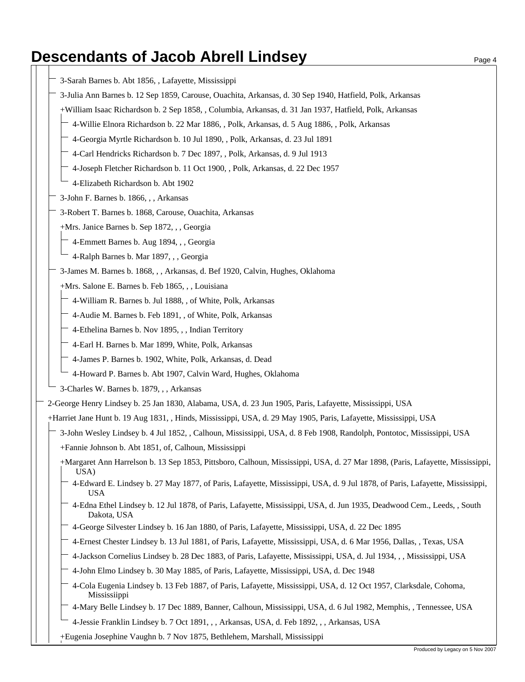| 3-Sarah Barnes b. Abt 1856, , Lafayette, Mississippi                                                                                      |  |
|-------------------------------------------------------------------------------------------------------------------------------------------|--|
| 3-Julia Ann Barnes b. 12 Sep 1859, Carouse, Ouachita, Arkansas, d. 30 Sep 1940, Hatfield, Polk, Arkansas                                  |  |
| +William Isaac Richardson b. 2 Sep 1858, , Columbia, Arkansas, d. 31 Jan 1937, Hatfield, Polk, Arkansas                                   |  |
| 4-Willie Elnora Richardson b. 22 Mar 1886, , Polk, Arkansas, d. 5 Aug 1886, , Polk, Arkansas                                              |  |
| 4-Georgia Myrtle Richardson b. 10 Jul 1890, , Polk, Arkansas, d. 23 Jul 1891                                                              |  |
| 4-Carl Hendricks Richardson b. 7 Dec 1897, , Polk, Arkansas, d. 9 Jul 1913                                                                |  |
| 4-Joseph Fletcher Richardson b. 11 Oct 1900, , Polk, Arkansas, d. 22 Dec 1957                                                             |  |
| 4-Elizabeth Richardson b. Abt 1902                                                                                                        |  |
| 3-John F. Barnes b. 1866, , , Arkansas                                                                                                    |  |
| 3-Robert T. Barnes b. 1868, Carouse, Ouachita, Arkansas                                                                                   |  |
| +Mrs. Janice Barnes b. Sep 1872, , , Georgia                                                                                              |  |
| 4-Emmett Barnes b. Aug 1894, , , Georgia                                                                                                  |  |
| 4-Ralph Barnes b. Mar 1897, , , Georgia                                                                                                   |  |
| 3-James M. Barnes b. 1868, , , Arkansas, d. Bef 1920, Calvin, Hughes, Oklahoma                                                            |  |
| +Mrs. Salone E. Barnes b. Feb 1865, , , Louisiana                                                                                         |  |
| 4-William R. Barnes b. Jul 1888, , of White, Polk, Arkansas                                                                               |  |
| 4-Audie M. Barnes b. Feb 1891, , of White, Polk, Arkansas                                                                                 |  |
| 4-Ethelina Barnes b. Nov 1895, , , Indian Territory                                                                                       |  |
| 4-Earl H. Barnes b. Mar 1899, White, Polk, Arkansas                                                                                       |  |
| 4-James P. Barnes b. 1902, White, Polk, Arkansas, d. Dead                                                                                 |  |
| 4-Howard P. Barnes b. Abt 1907, Calvin Ward, Hughes, Oklahoma                                                                             |  |
| 3-Charles W. Barnes b. 1879, , , Arkansas                                                                                                 |  |
| 2-George Henry Lindsey b. 25 Jan 1830, Alabama, USA, d. 23 Jun 1905, Paris, Lafayette, Mississippi, USA                                   |  |
| +Harriet Jane Hunt b. 19 Aug 1831, Hinds, Mississippi, USA, d. 29 May 1905, Paris, Lafayette, Mississippi, USA                            |  |
| 3-John Wesley Lindsey b. 4 Jul 1852, , Calhoun, Mississippi, USA, d. 8 Feb 1908, Randolph, Pontotoc, Mississippi, USA                     |  |
| +Fannie Johnson b. Abt 1851, of, Calhoun, Mississippi                                                                                     |  |
| +Margaret Ann Harrelson b. 13 Sep 1853, Pittsboro, Calhoun, Mississippi, USA, d. 27 Mar 1898, (Paris, Lafayette, Mississippi,<br>USA)     |  |
| 4-Edward E. Lindsey b. 27 May 1877, of Paris, Lafayette, Mississippi, USA, d. 9 Jul 1878, of Paris, Lafayette, Mississippi,<br><b>USA</b> |  |
| 4-Edna Ethel Lindsey b. 12 Jul 1878, of Paris, Lafayette, Mississippi, USA, d. Jun 1935, Deadwood Cem., Leeds, , South<br>Dakota, USA     |  |
| 4-George Silvester Lindsey b. 16 Jan 1880, of Paris, Lafayette, Mississippi, USA, d. 22 Dec 1895                                          |  |
| 4-Ernest Chester Lindsey b. 13 Jul 1881, of Paris, Lafayette, Mississippi, USA, d. 6 Mar 1956, Dallas, , Texas, USA                       |  |
| 4-Jackson Cornelius Lindsey b. 28 Dec 1883, of Paris, Lafayette, Mississippi, USA, d. Jul 1934, , , Mississippi, USA                      |  |
| 4-John Elmo Lindsey b. 30 May 1885, of Paris, Lafayette, Mississippi, USA, d. Dec 1948                                                    |  |
| 4-Cola Eugenia Lindsey b. 13 Feb 1887, of Paris, Lafayette, Mississippi, USA, d. 12 Oct 1957, Clarksdale, Cohoma,<br>Mississiippi         |  |
| 4-Mary Belle Lindsey b. 17 Dec 1889, Banner, Calhoun, Mississippi, USA, d. 6 Jul 1982, Memphis, , Tennessee, USA                          |  |
| 4-Jessie Franklin Lindsey b. 7 Oct 1891, , , Arkansas, USA, d. Feb 1892, , , Arkansas, USA                                                |  |
| +Eugenia Josephine Vaughn b. 7 Nov 1875, Bethlehem, Marshall, Mississippi                                                                 |  |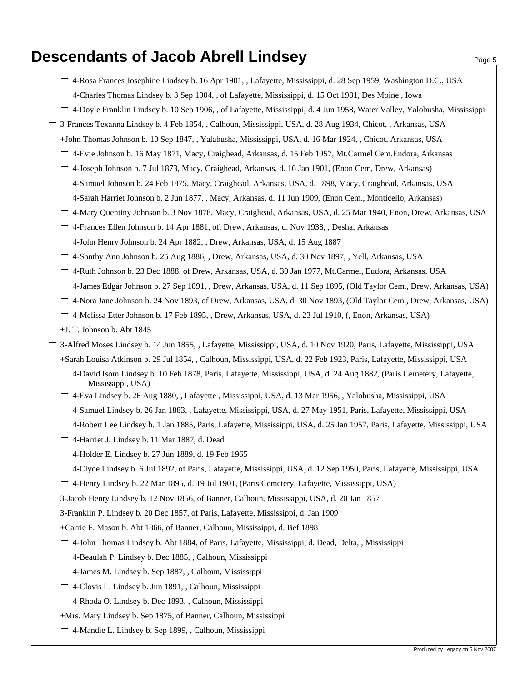- 4-Rosa Frances Josephine Lindsey b. 16 Apr 1901, , Lafayette, Mississippi, d. 28 Sep 1959, Washington D.C., USA
- 4-Charles Thomas Lindsey b. 3 Sep 1904, , of Lafayette, Mississippi, d. 15 Oct 1981, Des Moine , Iowa
- 4-Doyle Franklin Lindsey b. 10 Sep 1906, , of Lafayette, Mississippi, d. 4 Jun 1958, Water Valley, Yalobusha, Mississippi
- 3-Frances Texanna Lindsey b. 4 Feb 1854, , Calhoun, Mississippi, USA, d. 28 Aug 1934, Chicot, , Arkansas, USA
- +John Thomas Johnson b. 10 Sep 1847, , Yalabusha, Mississippi, USA, d. 16 Mar 1924, , Chicot, Arkansas, USA
- 4-Evie Johnson b. 16 May 1871, Macy, Craighead, Arkansas, d. 15 Feb 1957, Mt.Carmel Cem.Endora, Arkansas
- 4-Joseph Johnson b. 7 Jul 1873, Macy, Craighead, Arkansas, d. 16 Jan 1901, (Enon Cem, Drew, Arkansas)
- 4-Samuel Johnson b. 24 Feb 1875, Macy, Craighead, Arkansas, USA, d. 1898, Macy, Craighead, Arkansas, USA
- 4-Sarah Harriet Johnson b. 2 Jun 1877, , Macy, Arkansas, d. 11 Jun 1909, (Enon Cem., Monticello, Arkansas)
- 4-Mary Quentiny Johnson b. 3 Nov 1878, Macy, Craighead, Arkansas, USA, d. 25 Mar 1940, Enon, Drew, Arkansas, USA
- 4-Frances Ellen Johnson b. 14 Apr 1881, of, Drew, Arkansas, d. Nov 1938, , Desha, Arkansas
- 4-John Henry Johnson b. 24 Apr 1882, , Drew, Arkansas, USA, d. 15 Aug 1887
- 4-Sbnthy Ann Johnson b. 25 Aug 1886, , Drew, Arkansas, USA, d. 30 Nov 1897, , Yell, Arkansas, USA
- 4-Ruth Johnson b. 23 Dec 1888, of Drew, Arkansas, USA, d. 30 Jan 1977, Mt.Carmel, Eudora, Arkansas, USA
- 4-James Edgar Johnson b. 27 Sep 1891, , Drew, Arkansas, USA, d. 11 Sep 1895, (Old Taylor Cem., Drew, Arkansas, USA)
- 4-Nora Jane Johnson b. 24 Nov 1893, of Drew, Arkansas, USA, d. 30 Nov 1893, (Old Taylor Cem., Drew, Arkansas, USA)
- 4-Melissa Etter Johnson b. 17 Feb 1895, , Drew, Arkansas, USA, d. 23 Jul 1910, (, Enon, Arkansas, USA)
- +J. T. Johnson b. Abt 1845
- 3-Alfred Moses Lindsey b. 14 Jun 1855, , Lafayette, Mississippi, USA, d. 10 Nov 1920, Paris, Lafayette, Mississippi, USA +Sarah Louisa Atkinson b. 29 Jul 1854, , Calhoun, Mississippi, USA, d. 22 Feb 1923, Paris, Lafayette, Mississippi, USA
	- 4-David Isom Lindsey b. 10 Feb 1878, Paris, Lafayette, Mississippi, USA, d. 24 Aug 1882, (Paris Cemetery, Lafayette, Mississippi, USA)
	- 4-Eva Lindsey b. 26 Aug 1880, , Lafayette , Mississippi, USA, d. 13 Mar 1956, , Yalobusha, Mississippi, USA
	- 4-Samuel Lindsey b. 26 Jan 1883, , Lafayette, Mississippi, USA, d. 27 May 1951, Paris, Lafayette, Mississippi, USA
	- 4-Robert Lee Lindsey b. 1 Jan 1885, Paris, Lafayette, Mississippi, USA, d. 25 Jan 1957, Paris, Lafayette, Mississippi, USA
	- 4-Harriet J. Lindsey b. 11 Mar 1887, d. Dead
	- 4-Holder E. Lindsey b. 27 Jun 1889, d. 19 Feb 1965
	- 4-Clyde Lindsey b. 6 Jul 1892, of Paris, Lafayette, Mississippi, USA, d. 12 Sep 1950, Paris, Lafayette, Mississippi, USA
	- 4-Henry Lindsey b. 22 Mar 1895, d. 19 Jul 1901, (Paris Cemetery, Lafayette, Mississippi, USA)
- 3-Jacob Henry Lindsey b. 12 Nov 1856, of Banner, Calhoun, Mississippi, USA, d. 20 Jan 1857

3-Franklin P. Lindsey b. 20 Dec 1857, of Paris, Lafayette, Mississippi, d. Jan 1909

- +Carrie F. Mason b. Abt 1866, of Banner, Calhoun, Mississippi, d. Bef 1898
- 4-John Thomas Lindsey b. Abt 1884, of Paris, Lafayette, Mississippi, d. Dead, Delta, , Mississippi
- 4-Beaulah P. Lindsey b. Dec 1885, , Calhoun, Mississippi
- 4-James M. Lindsey b. Sep 1887, , Calhoun, Mississippi
- 4-Clovis L. Lindsey b. Jun 1891, , Calhoun, Mississippi
- 4-Rhoda O. Lindsey b. Dec 1893, , Calhoun, Mississippi
- +Mrs. Mary Lindsey b. Sep 1875, of Banner, Calhoun, Mississippi
- 4-Mandie L. Lindsey b. Sep 1899, , Calhoun, Mississippi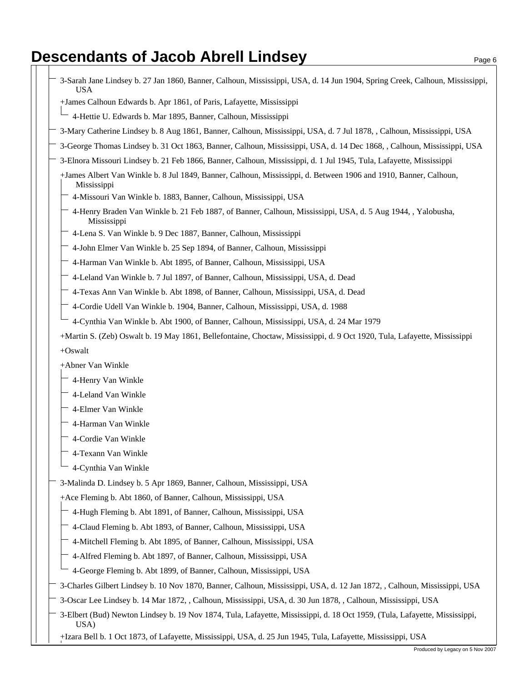| 3-Sarah Jane Lindsey b. 27 Jan 1860, Banner, Calhoun, Mississippi, USA, d. 14 Jun 1904, Spring Creek, Calhoun, Mississippi,<br><b>USA</b> |  |
|-------------------------------------------------------------------------------------------------------------------------------------------|--|
| +James Calhoun Edwards b. Apr 1861, of Paris, Lafayette, Mississippi                                                                      |  |
| 4-Hettie U. Edwards b. Mar 1895, Banner, Calhoun, Mississippi                                                                             |  |
| 3-Mary Catherine Lindsey b. 8 Aug 1861, Banner, Calhoun, Mississippi, USA, d. 7 Jul 1878, , Calhoun, Mississippi, USA                     |  |
| 3-George Thomas Lindsey b. 31 Oct 1863, Banner, Calhoun, Mississippi, USA, d. 14 Dec 1868, , Calhoun, Mississippi, USA                    |  |
| 3-Elnora Missouri Lindsey b. 21 Feb 1866, Banner, Calhoun, Mississippi, d. 1 Jul 1945, Tula, Lafayette, Mississippi                       |  |
| +James Albert Van Winkle b. 8 Jul 1849, Banner, Calhoun, Mississippi, d. Between 1906 and 1910, Banner, Calhoun,<br>Mississippi           |  |
| 4-Missouri Van Winkle b. 1883, Banner, Calhoun, Mississippi, USA                                                                          |  |
| 4-Henry Braden Van Winkle b. 21 Feb 1887, of Banner, Calhoun, Mississippi, USA, d. 5 Aug 1944, , Yalobusha,<br>Mississippi                |  |
| 4-Lena S. Van Winkle b. 9 Dec 1887, Banner, Calhoun, Mississippi                                                                          |  |
| 4-John Elmer Van Winkle b. 25 Sep 1894, of Banner, Calhoun, Mississippi                                                                   |  |
| 4-Harman Van Winkle b. Abt 1895, of Banner, Calhoun, Mississippi, USA                                                                     |  |
| 4-Leland Van Winkle b. 7 Jul 1897, of Banner, Calhoun, Mississippi, USA, d. Dead                                                          |  |
| 4-Texas Ann Van Winkle b. Abt 1898, of Banner, Calhoun, Mississippi, USA, d. Dead                                                         |  |
| 4-Cordie Udell Van Winkle b. 1904, Banner, Calhoun, Mississippi, USA, d. 1988                                                             |  |
| 4-Cynthia Van Winkle b. Abt 1900, of Banner, Calhoun, Mississippi, USA, d. 24 Mar 1979                                                    |  |
| +Martin S. (Zeb) Oswalt b. 19 May 1861, Bellefontaine, Choctaw, Mississippi, d. 9 Oct 1920, Tula, Lafayette, Mississippi                  |  |
| $+Oswalt$                                                                                                                                 |  |
| +Abner Van Winkle                                                                                                                         |  |
| 4-Henry Van Winkle                                                                                                                        |  |
| 4-Leland Van Winkle                                                                                                                       |  |
| 4-Elmer Van Winkle                                                                                                                        |  |
| 4-Harman Van Winkle                                                                                                                       |  |
| 4-Cordie Van Winkle                                                                                                                       |  |
| 4-Texann Van Winkle                                                                                                                       |  |
| 4-Cynthia Van Winkle                                                                                                                      |  |
| 3-Malinda D. Lindsey b. 5 Apr 1869, Banner, Calhoun, Mississippi, USA                                                                     |  |
| +Ace Fleming b. Abt 1860, of Banner, Calhoun, Mississippi, USA                                                                            |  |
| 4-Hugh Fleming b. Abt 1891, of Banner, Calhoun, Mississippi, USA                                                                          |  |
| 4-Claud Fleming b. Abt 1893, of Banner, Calhoun, Mississippi, USA                                                                         |  |
| 4-Mitchell Fleming b. Abt 1895, of Banner, Calhoun, Mississippi, USA                                                                      |  |
| 4-Alfred Fleming b. Abt 1897, of Banner, Calhoun, Mississippi, USA                                                                        |  |
| 4-George Fleming b. Abt 1899, of Banner, Calhoun, Mississippi, USA                                                                        |  |
| 3-Charles Gilbert Lindsey b. 10 Nov 1870, Banner, Calhoun, Mississippi, USA, d. 12 Jan 1872, , Calhoun, Mississippi, USA                  |  |
| 3-Oscar Lee Lindsey b. 14 Mar 1872, , Calhoun, Mississippi, USA, d. 30 Jun 1878, , Calhoun, Mississippi, USA                              |  |
| 3-Elbert (Bud) Newton Lindsey b. 19 Nov 1874, Tula, Lafayette, Mississippi, d. 18 Oct 1959, (Tula, Lafayette, Mississippi,<br>USA)        |  |

+Izara Bell b. 1 Oct 1873, of Lafayette, Mississippi, USA, d. 25 Jun 1945, Tula, Lafayette, Mississippi, USA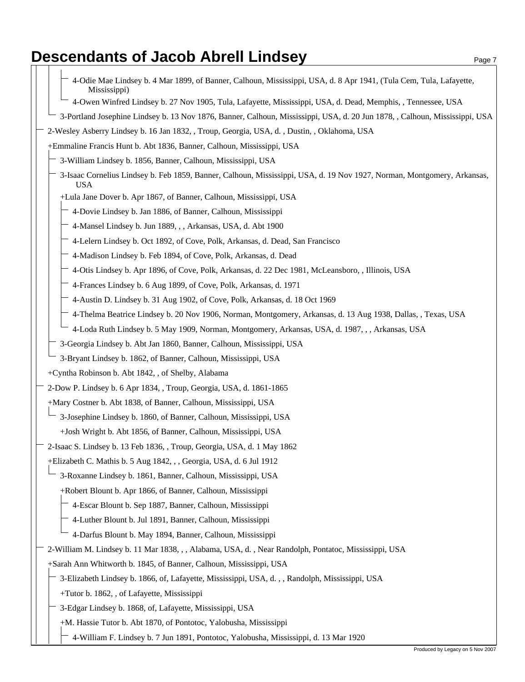| 4-Odie Mae Lindsey b. 4 Mar 1899, of Banner, Calhoun, Mississippi, USA, d. 8 Apr 1941, (Tula Cem, Tula, Lafayette,<br>Mississippi)    |
|---------------------------------------------------------------------------------------------------------------------------------------|
| 4-Owen Winfred Lindsey b. 27 Nov 1905, Tula, Lafayette, Mississippi, USA, d. Dead, Memphis, , Tennessee, USA                          |
| 3-Portland Josephine Lindsey b. 13 Nov 1876, Banner, Calhoun, Mississippi, USA, d. 20 Jun 1878, , Calhoun, Mississippi, USA           |
| 2-Wesley Asberry Lindsey b. 16 Jan 1832, , Troup, Georgia, USA, d., Dustin, , Oklahoma, USA                                           |
| +Emmaline Francis Hunt b. Abt 1836, Banner, Calhoun, Mississippi, USA                                                                 |
| 3-William Lindsey b. 1856, Banner, Calhoun, Mississippi, USA                                                                          |
| 3-Isaac Cornelius Lindsey b. Feb 1859, Banner, Calhoun, Mississippi, USA, d. 19 Nov 1927, Norman, Montgomery, Arkansas,<br><b>USA</b> |
| +Lula Jane Dover b. Apr 1867, of Banner, Calhoun, Mississippi, USA                                                                    |
| 4-Dovie Lindsey b. Jan 1886, of Banner, Calhoun, Mississippi                                                                          |
| 4-Mansel Lindsey b. Jun 1889, , , Arkansas, USA, d. Abt 1900                                                                          |
| 4-Lelern Lindsey b. Oct 1892, of Cove, Polk, Arkansas, d. Dead, San Francisco                                                         |
| 4-Madison Lindsey b. Feb 1894, of Cove, Polk, Arkansas, d. Dead                                                                       |
| 4-Otis Lindsey b. Apr 1896, of Cove, Polk, Arkansas, d. 22 Dec 1981, McLeansboro, , Illinois, USA                                     |
| 4-Frances Lindsey b. 6 Aug 1899, of Cove, Polk, Arkansas, d. 1971                                                                     |
| 4-Austin D. Lindsey b. 31 Aug 1902, of Cove, Polk, Arkansas, d. 18 Oct 1969                                                           |
| 4-Thelma Beatrice Lindsey b. 20 Nov 1906, Norman, Montgomery, Arkansas, d. 13 Aug 1938, Dallas, , Texas, USA                          |
| 4-Loda Ruth Lindsey b. 5 May 1909, Norman, Montgomery, Arkansas, USA, d. 1987, , , Arkansas, USA                                      |
| 3-Georgia Lindsey b. Abt Jan 1860, Banner, Calhoun, Mississippi, USA                                                                  |
| 3-Bryant Lindsey b. 1862, of Banner, Calhoun, Mississippi, USA                                                                        |
| +Cyntha Robinson b. Abt 1842, , of Shelby, Alabama                                                                                    |
| 2-Dow P. Lindsey b. 6 Apr 1834, , Troup, Georgia, USA, d. 1861-1865                                                                   |
| +Mary Costner b. Abt 1838, of Banner, Calhoun, Mississippi, USA                                                                       |
| 3-Josephine Lindsey b. 1860, of Banner, Calhoun, Mississippi, USA                                                                     |
| +Josh Wright b. Abt 1856, of Banner, Calhoun, Mississippi, USA                                                                        |
| 2-Isaac S. Lindsey b. 13 Feb 1836, , Troup, Georgia, USA, d. 1 May 1862                                                               |
| +Elizabeth C. Mathis b. 5 Aug 1842, , , Georgia, USA, d. 6 Jul 1912                                                                   |
| 3-Roxanne Lindsey b. 1861, Banner, Calhoun, Mississippi, USA                                                                          |
| +Robert Blount b. Apr 1866, of Banner, Calhoun, Mississippi                                                                           |
| 4-Escar Blount b. Sep 1887, Banner, Calhoun, Mississippi                                                                              |
| 4-Luther Blount b. Jul 1891, Banner, Calhoun, Mississippi                                                                             |
| 4-Darfus Blount b. May 1894, Banner, Calhoun, Mississippi                                                                             |
| 2-William M. Lindsey b. 11 Mar 1838, , , Alabama, USA, d., Near Randolph, Pontatoc, Mississippi, USA                                  |
| +Sarah Ann Whitworth b. 1845, of Banner, Calhoun, Mississippi, USA                                                                    |
| 3-Elizabeth Lindsey b. 1866, of, Lafayette, Mississippi, USA, d., , Randolph, Mississippi, USA                                        |
| +Tutor b. 1862, , of Lafayette, Mississippi                                                                                           |
| 3-Edgar Lindsey b. 1868, of, Lafayette, Mississippi, USA                                                                              |
| +M. Hassie Tutor b. Abt 1870, of Pontotoc, Yalobusha, Mississippi                                                                     |
| 4-William F. Lindsey b. 7 Jun 1891, Pontotoc, Yalobusha, Mississippi, d. 13 Mar 1920                                                  |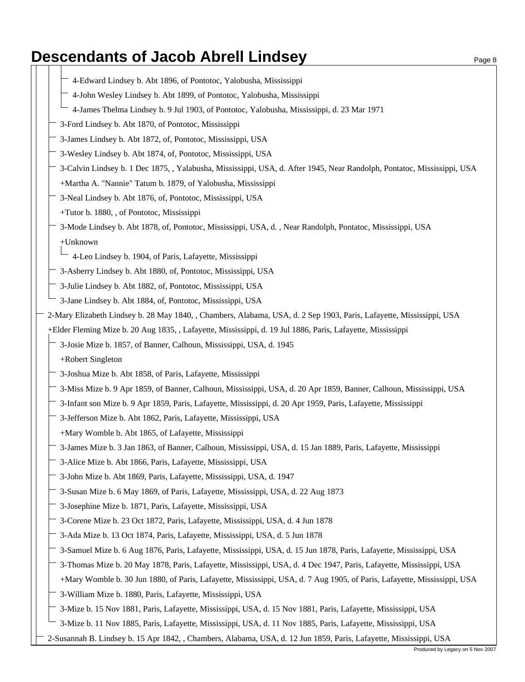#### **Descendants of Jacob Abrell Lindsey Example 20 Service 20 Aproximate Page 8**

- 4-Edward Lindsey b. Abt 1896, of Pontotoc, Yalobusha, Mississippi
- 4-John Wesley Lindsey b. Abt 1899, of Pontotoc, Yalobusha, Mississippi
- 4-James Thelma Lindsey b. 9 Jul 1903, of Pontotoc, Yalobusha, Mississippi, d. 23 Mar 1971
- 3-Ford Lindsey b. Abt 1870, of Pontotoc, Mississippi
- 3-James Lindsey b. Abt 1872, of, Pontotoc, Mississippi, USA
- 3-Wesley Lindsey b. Abt 1874, of, Pontotoc, Mississippi, USA
- 3-Calvin Lindsey b. 1 Dec 1875, , Yalabusha, Mississippi, USA, d. After 1945, Near Randolph, Pontatoc, Mississippi, USA
- +Martha A. "Nannie" Tatum b. 1879, of Yalobusha, Mississippi
- 3-Neal Lindsey b. Abt 1876, of, Pontotoc, Mississippi, USA
- +Tutor b. 1880, , of Pontotoc, Mississippi
- 3-Mode Lindsey b. Abt 1878, of, Pontotoc, Mississippi, USA, d. , Near Randolph, Pontatoc, Mississippi, USA +Unknown
	- 4-Leo Lindsey b. 1904, of Paris, Lafayette, Mississippi
- 3-Asberry Lindsey b. Abt 1880, of, Pontotoc, Mississippi, USA
- 3-Julie Lindsey b. Abt 1882, of, Pontotoc, Mississippi, USA
- 3-Jane Lindsey b. Abt 1884, of, Pontotoc, Mississippi, USA
- 2-Mary Elizabeth Lindsey b. 28 May 1840, , Chambers, Alabama, USA, d. 2 Sep 1903, Paris, Lafayette, Mississippi, USA
- +Elder Fleming Mize b. 20 Aug 1835, , Lafayette, Mississippi, d. 19 Jul 1886, Paris, Lafayette, Mississippi
- 3-Josie Mize b. 1857, of Banner, Calhoun, Mississippi, USA, d. 1945 +Robert Singleton
- 3-Joshua Mize b. Abt 1858, of Paris, Lafayette, Mississippi
- 3-Miss Mize b. 9 Apr 1859, of Banner, Calhoun, Mississippi, USA, d. 20 Apr 1859, Banner, Calhoun, Mississippi, USA
- 3-Infant son Mize b. 9 Apr 1859, Paris, Lafayette, Mississippi, d. 20 Apr 1959, Paris, Lafayette, Mississippi
- 3-Jefferson Mize b. Abt 1862, Paris, Lafayette, Mississippi, USA
- +Mary Womble b. Abt 1865, of Lafayette, Mississippi
- 3-James Mize b. 3 Jan 1863, of Banner, Calhoun, Mississippi, USA, d. 15 Jan 1889, Paris, Lafayette, Mississippi
- 3-Alice Mize b. Abt 1866, Paris, Lafayette, Mississippi, USA
- 3-John Mize b. Abt 1869, Paris, Lafayette, Mississippi, USA, d. 1947
- 3-Susan Mize b. 6 May 1869, of Paris, Lafayette, Mississippi, USA, d. 22 Aug 1873
- 3-Josephine Mize b. 1871, Paris, Lafayette, Mississippi, USA
- 3-Corene Mize b. 23 Oct 1872, Paris, Lafayette, Mississippi, USA, d. 4 Jun 1878
- 3-Ada Mize b. 13 Oct 1874, Paris, Lafayette, Mississippi, USA, d. 5 Jun 1878
- 3-Samuel Mize b. 6 Aug 1876, Paris, Lafayette, Mississippi, USA, d. 15 Jun 1878, Paris, Lafayette, Mississippi, USA
	- 3-Thomas Mize b. 20 May 1878, Paris, Lafayette, Mississippi, USA, d. 4 Dec 1947, Paris, Lafayette, Mississippi, USA
- +Mary Womble b. 30 Jun 1880, of Paris, Lafayette, Mississippi, USA, d. 7 Aug 1905, of Paris, Lafayette, Mississippi, USA
- 3-William Mize b. 1880, Paris, Lafayette, Mississippi, USA
- 3-Mize b. 15 Nov 1881, Paris, Lafayette, Mississippi, USA, d. 15 Nov 1881, Paris, Lafayette, Mississippi, USA
- 3-Mize b. 11 Nov 1885, Paris, Lafayette, Mississippi, USA, d. 11 Nov 1885, Paris, Lafayette, Mississippi, USA
- 2-Susannah B. Lindsey b. 15 Apr 1842, , Chambers, Alabama, USA, d. 12 Jun 1859, Paris, Lafayette, Mississippi, USA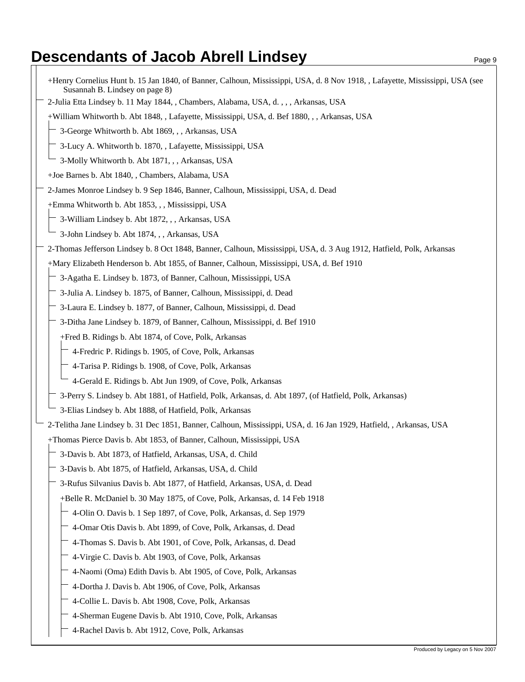| +Henry Cornelius Hunt b. 15 Jan 1840, of Banner, Calhoun, Mississippi, USA, d. 8 Nov 1918, , Lafayette, Mississippi, USA (see<br>Susannah B. Lindsey on page 8) |
|-----------------------------------------------------------------------------------------------------------------------------------------------------------------|
| 2-Julia Etta Lindsey b. 11 May 1844, , Chambers, Alabama, USA, d.,,, Arkansas, USA                                                                              |
| +William Whitworth b. Abt 1848, , Lafayette, Mississippi, USA, d. Bef 1880, , , Arkansas, USA                                                                   |
| 3-George Whitworth b. Abt 1869, , , Arkansas, USA                                                                                                               |
| 3-Lucy A. Whitworth b. 1870, , Lafayette, Mississippi, USA                                                                                                      |
| 3-Molly Whitworth b. Abt 1871, , , Arkansas, USA                                                                                                                |
| +Joe Barnes b. Abt 1840, , Chambers, Alabama, USA                                                                                                               |
| 2-James Monroe Lindsey b. 9 Sep 1846, Banner, Calhoun, Mississippi, USA, d. Dead                                                                                |
| +Emma Whitworth b. Abt 1853, , , Mississippi, USA                                                                                                               |
| 3-William Lindsey b. Abt 1872, , , Arkansas, USA                                                                                                                |
| 3-John Lindsey b. Abt 1874, , , Arkansas, USA                                                                                                                   |
| 2-Thomas Jefferson Lindsey b. 8 Oct 1848, Banner, Calhoun, Mississippi, USA, d. 3 Aug 1912, Hatfield, Polk, Arkansas                                            |
| +Mary Elizabeth Henderson b. Abt 1855, of Banner, Calhoun, Mississippi, USA, d. Bef 1910                                                                        |
| 3-Agatha E. Lindsey b. 1873, of Banner, Calhoun, Mississippi, USA                                                                                               |
| 3-Julia A. Lindsey b. 1875, of Banner, Calhoun, Mississippi, d. Dead                                                                                            |
| 3-Laura E. Lindsey b. 1877, of Banner, Calhoun, Mississippi, d. Dead                                                                                            |
| 3-Ditha Jane Lindsey b. 1879, of Banner, Calhoun, Mississippi, d. Bef 1910                                                                                      |
| +Fred B. Ridings b. Abt 1874, of Cove, Polk, Arkansas                                                                                                           |
| 4-Fredric P. Ridings b. 1905, of Cove, Polk, Arkansas                                                                                                           |
| 4-Tarisa P. Ridings b. 1908, of Cove, Polk, Arkansas                                                                                                            |
| 4-Gerald E. Ridings b. Abt Jun 1909, of Cove, Polk, Arkansas                                                                                                    |
| 3-Perry S. Lindsey b. Abt 1881, of Hatfield, Polk, Arkansas, d. Abt 1897, (of Hatfield, Polk, Arkansas)                                                         |
| 3-Elias Lindsey b. Abt 1888, of Hatfield, Polk, Arkansas                                                                                                        |
| 2-Telitha Jane Lindsey b. 31 Dec 1851, Banner, Calhoun, Mississippi, USA, d. 16 Jan 1929, Hatfield, , Arkansas, USA                                             |
| +Thomas Pierce Davis b. Abt 1853, of Banner, Calhoun, Mississippi, USA                                                                                          |
| 3-Davis b. Abt 1873, of Hatfield, Arkansas, USA, d. Child                                                                                                       |
| 3-Davis b. Abt 1875, of Hatfield, Arkansas, USA, d. Child                                                                                                       |
| 3-Rufus Silvanius Davis b. Abt 1877, of Hatfield, Arkansas, USA, d. Dead                                                                                        |
| +Belle R. McDaniel b. 30 May 1875, of Cove, Polk, Arkansas, d. 14 Feb 1918                                                                                      |
| 4-Olin O. Davis b. 1 Sep 1897, of Cove, Polk, Arkansas, d. Sep 1979                                                                                             |
| 4-Omar Otis Davis b. Abt 1899, of Cove, Polk, Arkansas, d. Dead                                                                                                 |
| 4-Thomas S. Davis b. Abt 1901, of Cove, Polk, Arkansas, d. Dead                                                                                                 |
| 4-Virgie C. Davis b. Abt 1903, of Cove, Polk, Arkansas                                                                                                          |
| 4-Naomi (Oma) Edith Davis b. Abt 1905, of Cove, Polk, Arkansas                                                                                                  |
| 4-Dortha J. Davis b. Abt 1906, of Cove, Polk, Arkansas                                                                                                          |
| 4-Collie L. Davis b. Abt 1908, Cove, Polk, Arkansas                                                                                                             |
| 4-Sherman Eugene Davis b. Abt 1910, Cove, Polk, Arkansas                                                                                                        |

4-Rachel Davis b. Abt 1912, Cove, Polk, Arkansas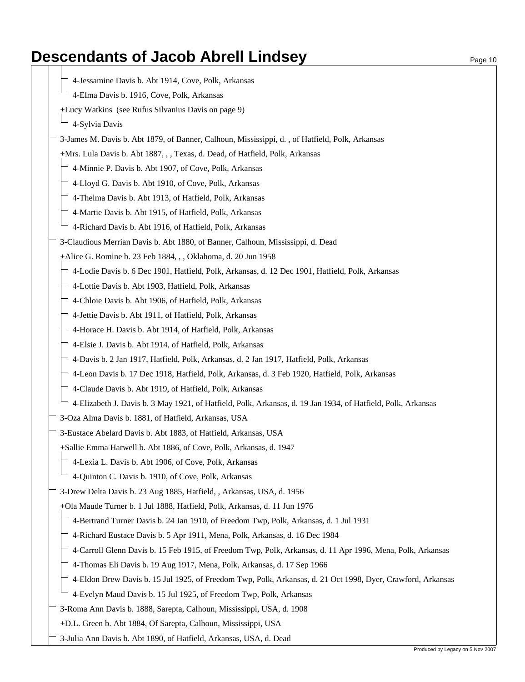| 4-Jessamine Davis b. Abt 1914, Cove, Polk, Arkansas                                                          |
|--------------------------------------------------------------------------------------------------------------|
| 4-Elma Davis b. 1916, Cove, Polk, Arkansas                                                                   |
| +Lucy Watkins (see Rufus Silvanius Davis on page 9)                                                          |
| 4-Sylvia Davis                                                                                               |
| 3-James M. Davis b. Abt 1879, of Banner, Calhoun, Mississippi, d., of Hatfield, Polk, Arkansas               |
| +Mrs. Lula Davis b. Abt 1887, , , Texas, d. Dead, of Hatfield, Polk, Arkansas                                |
| 4-Minnie P. Davis b. Abt 1907, of Cove, Polk, Arkansas                                                       |
| 4-Lloyd G. Davis b. Abt 1910, of Cove, Polk, Arkansas                                                        |
| - 4-Thelma Davis b. Abt 1913, of Hatfield, Polk, Arkansas                                                    |
| - 4-Martie Davis b. Abt 1915, of Hatfield, Polk, Arkansas                                                    |
| 4-Richard Davis b. Abt 1916, of Hatfield, Polk, Arkansas                                                     |
| 3-Claudious Merrian Davis b. Abt 1880, of Banner, Calhoun, Mississippi, d. Dead                              |
| +Alice G. Romine b. 23 Feb 1884, , , Oklahoma, d. 20 Jun 1958                                                |
| 4-Lodie Davis b. 6 Dec 1901, Hatfield, Polk, Arkansas, d. 12 Dec 1901, Hatfield, Polk, Arkansas              |
| - 4-Lottie Davis b. Abt 1903, Hatfield, Polk, Arkansas                                                       |
| - 4-Chloie Davis b. Abt 1906, of Hatfield, Polk, Arkansas                                                    |
| - 4-Jettie Davis b. Abt 1911, of Hatfield, Polk, Arkansas                                                    |
| - 4-Horace H. Davis b. Abt 1914, of Hatfield, Polk, Arkansas                                                 |
| 4-Elsie J. Davis b. Abt 1914, of Hatfield, Polk, Arkansas                                                    |
| <sup>-</sup> 4-Davis b. 2 Jan 1917, Hatfield, Polk, Arkansas, d. 2 Jan 1917, Hatfield, Polk, Arkansas        |
| - 4-Leon Davis b. 17 Dec 1918, Hatfield, Polk, Arkansas, d. 3 Feb 1920, Hatfield, Polk, Arkansas             |
| 4-Claude Davis b. Abt 1919, of Hatfield, Polk, Arkansas                                                      |
| 4-Elizabeth J. Davis b. 3 May 1921, of Hatfield, Polk, Arkansas, d. 19 Jan 1934, of Hatfield, Polk, Arkansas |
| 3-Oza Alma Davis b. 1881, of Hatfield, Arkansas, USA                                                         |
| 3-Eustace Abelard Davis b. Abt 1883, of Hatfield, Arkansas, USA                                              |
| +Sallie Emma Harwell b. Abt 1886, of Cove, Polk, Arkansas, d. 1947                                           |
| 4-Lexia L. Davis b. Abt 1906, of Cove, Polk, Arkansas                                                        |
| 4-Quinton C. Davis b. 1910, of Cove, Polk, Arkansas                                                          |
| 3-Drew Delta Davis b. 23 Aug 1885, Hatfield, , Arkansas, USA, d. 1956                                        |
| +Ola Maude Turner b. 1 Jul 1888, Hatfield, Polk, Arkansas, d. 11 Jun 1976                                    |
| 4-Bertrand Turner Davis b. 24 Jan 1910, of Freedom Twp, Polk, Arkansas, d. 1 Jul 1931                        |
| 4-Richard Eustace Davis b. 5 Apr 1911, Mena, Polk, Arkansas, d. 16 Dec 1984                                  |
| 4-Carroll Glenn Davis b. 15 Feb 1915, of Freedom Twp, Polk, Arkansas, d. 11 Apr 1996, Mena, Polk, Arkansas   |
| - 4-Thomas Eli Davis b. 19 Aug 1917, Mena, Polk, Arkansas, d. 17 Sep 1966                                    |
| 4-Eldon Drew Davis b. 15 Jul 1925, of Freedom Twp, Polk, Arkansas, d. 21 Oct 1998, Dyer, Crawford, Arkansas  |
| 4-Evelyn Maud Davis b. 15 Jul 1925, of Freedom Twp, Polk, Arkansas                                           |
| 3-Roma Ann Davis b. 1888, Sarepta, Calhoun, Mississippi, USA, d. 1908                                        |
| +D.L. Green b. Abt 1884, Of Sarepta, Calhoun, Mississippi, USA                                               |
| 3-Julia Ann Davis b. Abt 1890, of Hatfield, Arkansas, USA, d. Dead                                           |